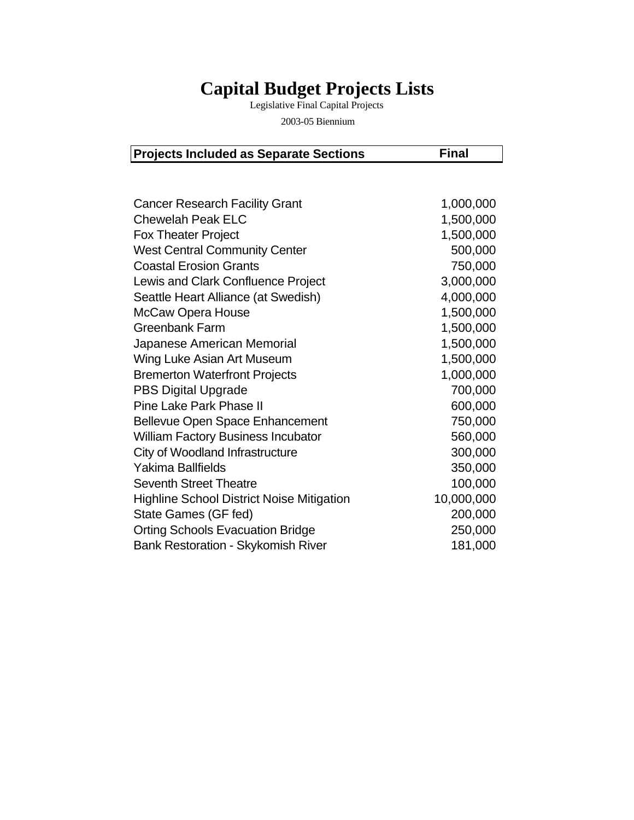## **Capital Budget Projects Lists**

Legislative Final Capital Projects

2003-05 Biennium

| <b>Projects Included as Separate Sections</b> | <b>Final</b> |
|-----------------------------------------------|--------------|
|-----------------------------------------------|--------------|

| <b>Cancer Research Facility Grant</b>            | 1,000,000  |
|--------------------------------------------------|------------|
| <b>Chewelah Peak ELC</b>                         | 1,500,000  |
| <b>Fox Theater Project</b>                       | 1,500,000  |
| <b>West Central Community Center</b>             | 500,000    |
| <b>Coastal Erosion Grants</b>                    | 750,000    |
| Lewis and Clark Confluence Project               | 3,000,000  |
| Seattle Heart Alliance (at Swedish)              | 4,000,000  |
| McCaw Opera House                                | 1,500,000  |
| Greenbank Farm                                   | 1,500,000  |
| Japanese American Memorial                       | 1,500,000  |
| Wing Luke Asian Art Museum                       | 1,500,000  |
| <b>Bremerton Waterfront Projects</b>             | 1,000,000  |
| <b>PBS Digital Upgrade</b>                       | 700,000    |
| Pine Lake Park Phase II                          | 600,000    |
| <b>Bellevue Open Space Enhancement</b>           | 750,000    |
| <b>William Factory Business Incubator</b>        | 560,000    |
| City of Woodland Infrastructure                  | 300,000    |
| Yakima Ballfields                                | 350,000    |
| <b>Seventh Street Theatre</b>                    | 100,000    |
| <b>Highline School District Noise Mitigation</b> | 10,000,000 |
| State Games (GF fed)                             | 200,000    |
| <b>Orting Schools Evacuation Bridge</b>          | 250,000    |
| <b>Bank Restoration - Skykomish River</b>        | 181,000    |
|                                                  |            |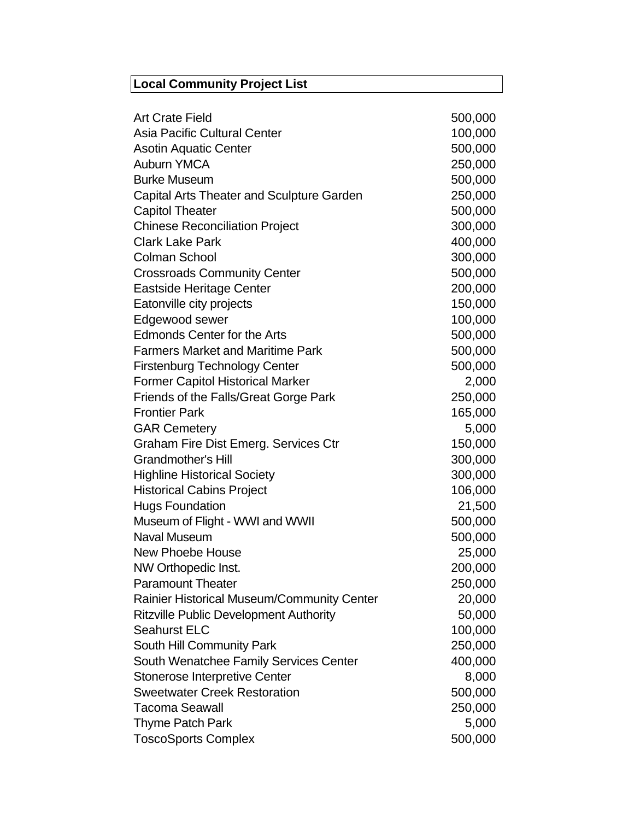## **Local Community Project List**

| <b>Art Crate Field</b>                            | 500,000 |
|---------------------------------------------------|---------|
| Asia Pacific Cultural Center                      | 100,000 |
| <b>Asotin Aquatic Center</b>                      | 500,000 |
| <b>Auburn YMCA</b>                                | 250,000 |
| <b>Burke Museum</b>                               | 500,000 |
| <b>Capital Arts Theater and Sculpture Garden</b>  | 250,000 |
| <b>Capitol Theater</b>                            | 500,000 |
| <b>Chinese Reconciliation Project</b>             | 300,000 |
| <b>Clark Lake Park</b>                            | 400,000 |
| <b>Colman School</b>                              | 300,000 |
| <b>Crossroads Community Center</b>                | 500,000 |
| Eastside Heritage Center                          | 200,000 |
| Eatonville city projects                          | 150,000 |
| Edgewood sewer                                    | 100,000 |
| <b>Edmonds Center for the Arts</b>                | 500,000 |
| <b>Farmers Market and Maritime Park</b>           | 500,000 |
| <b>Firstenburg Technology Center</b>              | 500,000 |
| <b>Former Capitol Historical Marker</b>           | 2,000   |
| Friends of the Falls/Great Gorge Park             | 250,000 |
| <b>Frontier Park</b>                              | 165,000 |
| <b>GAR Cemetery</b>                               | 5,000   |
| Graham Fire Dist Emerg. Services Ctr              | 150,000 |
| <b>Grandmother's Hill</b>                         | 300,000 |
| <b>Highline Historical Society</b>                | 300,000 |
| <b>Historical Cabins Project</b>                  | 106,000 |
| <b>Hugs Foundation</b>                            | 21,500  |
| Museum of Flight - WWI and WWII                   | 500,000 |
| <b>Naval Museum</b>                               | 500,000 |
| <b>New Phoebe House</b>                           | 25,000  |
| NW Orthopedic Inst.                               | 200,000 |
| <b>Paramount Theater</b>                          | 250,000 |
| <b>Rainier Historical Museum/Community Center</b> | 20,000  |
| <b>Ritzville Public Development Authority</b>     | 50,000  |
| Seahurst ELC                                      | 100,000 |
| <b>South Hill Community Park</b>                  | 250,000 |
| South Wenatchee Family Services Center            | 400,000 |
| <b>Stonerose Interpretive Center</b>              | 8,000   |
| <b>Sweetwater Creek Restoration</b>               | 500,000 |
| Tacoma Seawall                                    | 250,000 |
| Thyme Patch Park                                  | 5,000   |
| <b>ToscoSports Complex</b>                        | 500,000 |